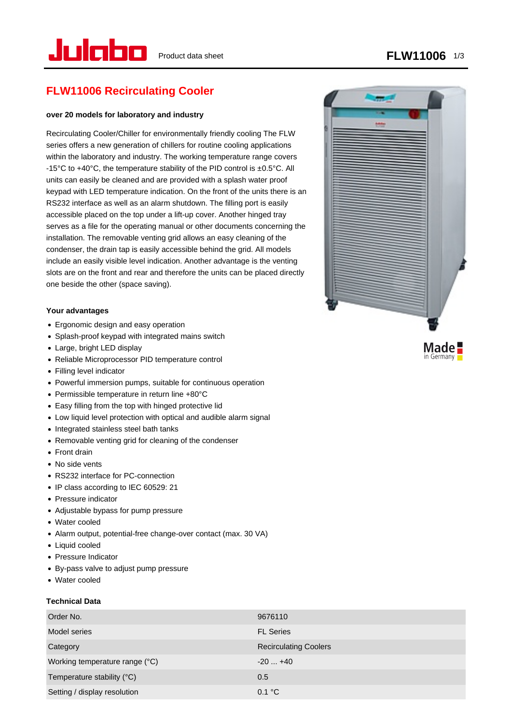in Germany

# **FLW11006 Recirculating Cooler**

#### **over 20 models for laboratory and industry**

Recirculating Cooler/Chiller for environmentally friendly cooling The FLW series offers a new generation of chillers for routine cooling applications within the laboratory and industry. The working temperature range covers -15°C to +40°C, the temperature stability of the PID control is ±0.5°C. All units can easily be cleaned and are provided with a splash water proof keypad with LED temperature indication. On the front of the units there is an RS232 interface as well as an alarm shutdown. The filling port is easily accessible placed on the top under a lift-up cover. Another hinged tray serves as a file for the operating manual or other documents concerning the installation. The removable venting grid allows an easy cleaning of the condenser, the drain tap is easily accessible behind the grid. All models include an easily visible level indication. Another advantage is the venting slots are on the front and rear and therefore the units can be placed directly one beside the other (space saving).

#### **Your advantages**

- Ergonomic design and easy operation
- Splash-proof keypad with integrated mains switch
- Large, bright LED display
- Reliable Microprocessor PID temperature control
- Filling level indicator
- Powerful immersion pumps, suitable for continuous operation
- Permissible temperature in return line +80°C
- Easy filling from the top with hinged protective lid
- Low liquid level protection with optical and audible alarm signal
- Integrated stainless steel bath tanks
- Removable venting grid for cleaning of the condenser
- Front drain
- No side vents
- RS232 interface for PC-connection
- IP class according to IEC 60529: 21
- Pressure indicator
- Adjustable bypass for pump pressure
- Water cooled
- Alarm output, potential-free change-over contact (max. 30 VA)
- Liquid cooled
- Pressure Indicator
- By-pass valve to adjust pump pressure
- Water cooled

#### **Technical Data**

| Order No.                      | 9676110                      |
|--------------------------------|------------------------------|
| Model series                   | <b>FL Series</b>             |
| Category                       | <b>Recirculating Coolers</b> |
| Working temperature range (°C) | $-20+40$                     |
| Temperature stability (°C)     | 0.5                          |
| Setting / display resolution   | 0.1 °C                       |

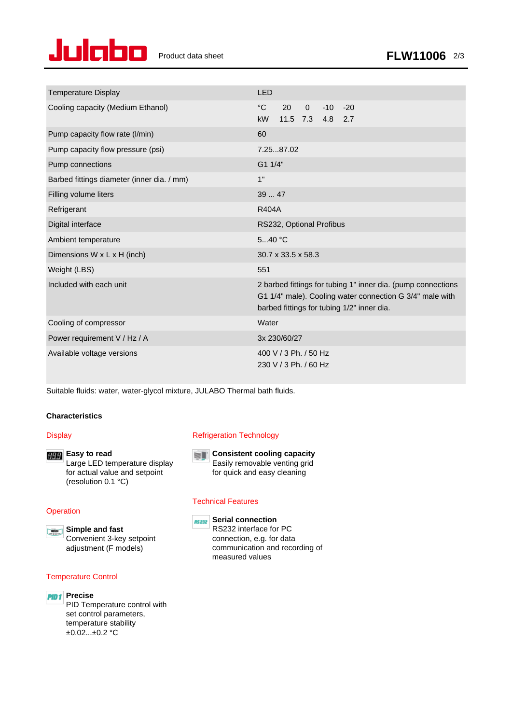

| <b>Temperature Display</b>                 | <b>LED</b>                                                                                                                                                             |
|--------------------------------------------|------------------------------------------------------------------------------------------------------------------------------------------------------------------------|
| Cooling capacity (Medium Ethanol)          | $^{\circ}C$<br>$\overline{0}$<br>20<br>$-10 - 20$<br>11.5 7.3 4.8 2.7<br><b>kW</b>                                                                                     |
| Pump capacity flow rate (I/min)            | 60                                                                                                                                                                     |
| Pump capacity flow pressure (psi)          | 7.2587.02                                                                                                                                                              |
| Pump connections                           | G1 1/4"                                                                                                                                                                |
| Barbed fittings diameter (inner dia. / mm) | 1"                                                                                                                                                                     |
| Filling volume liters                      | 39  47                                                                                                                                                                 |
| Refrigerant                                | <b>R404A</b>                                                                                                                                                           |
| Digital interface                          | RS232, Optional Profibus                                                                                                                                               |
| Ambient temperature                        | 540 °C                                                                                                                                                                 |
| Dimensions W x L x H (inch)                | $30.7 \times 33.5 \times 58.3$                                                                                                                                         |
| Weight (LBS)                               | 551                                                                                                                                                                    |
| Included with each unit                    | 2 barbed fittings for tubing 1" inner dia. (pump connections<br>G1 1/4" male). Cooling water connection G 3/4" male with<br>barbed fittings for tubing 1/2" inner dia. |
| Cooling of compressor                      | Water                                                                                                                                                                  |
| Power requirement V / Hz / A               | 3x 230/60/27                                                                                                                                                           |
| Available voltage versions                 | 400 V / 3 Ph. / 50 Hz<br>230 V / 3 Ph. / 60 Hz                                                                                                                         |

Suitable fluids: water, water-glycol mixture, JULABO Thermal bath fluids.

#### **Characteristics**

#### **Display**

**Easy to read** Large LED temperature display for actual value and setpoint (resolution 0.1 °C)

#### **Operation**

**Simple and fast** Convenient 3-key setpoint adjustment (F models)

#### Temperature Control

## **PID1** Precise

PID Temperature control with set control parameters, temperature stability ±0.02...±0.2 °C

#### Refrigeration Technology



**Consistent cooling capacity** Easily removable venting grid for quick and easy cleaning

#### Technical Features



## **RE232** Serial connection

RS232 interface for PC connection, e.g. for data communication and recording of measured values